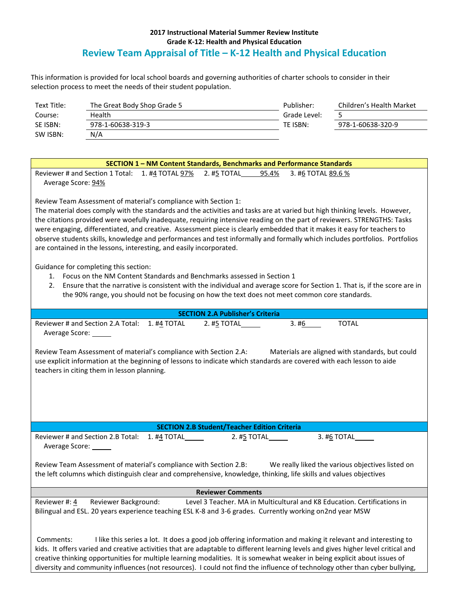## **2017 Instructional Material Summer Review Institute Grade K-12: Health and Physical Education Review Team Appraisal of Title – K-12 Health and Physical Education**

This information is provided for local school boards and governing authorities of charter schools to consider in their selection process to meet the needs of their student population.

| Text Title: | The Great Body Shop Grade 5 | Publisher:   | Children's Health Market |
|-------------|-----------------------------|--------------|--------------------------|
| Course:     | Health                      | Grade Level: |                          |
| SE ISBN:    | 978-1-60638-319-3           | TE ISBN:     | 978-1-60638-320-9        |
| SW ISBN:    | N/A                         |              |                          |

| SECTION 1 - NM Content Standards, Benchmarks and Performance Standards                                                             |  |  |  |
|------------------------------------------------------------------------------------------------------------------------------------|--|--|--|
| Reviewer # and Section 1 Total: 1. #4 TOTAL 97% 2. #5 TOTAL 95.4%<br>3. #6 TOTAL 89.6 %                                            |  |  |  |
| Average Score: 94%                                                                                                                 |  |  |  |
| Review Team Assessment of material's compliance with Section 1:                                                                    |  |  |  |
| The material does comply with the standards and the activities and tasks are at varied but high thinking levels. However,          |  |  |  |
| the citations provided were woefully inadequate, requiring intensive reading on the part of reviewers. STRENGTHS: Tasks            |  |  |  |
| were engaging, differentiated, and creative. Assessment piece is clearly embedded that it makes it easy for teachers to            |  |  |  |
| observe students skills, knowledge and performances and test informally and formally which includes portfolios. Portfolios         |  |  |  |
| are contained in the lessons, interesting, and easily incorporated.                                                                |  |  |  |
|                                                                                                                                    |  |  |  |
| Guidance for completing this section:                                                                                              |  |  |  |
| 1. Focus on the NM Content Standards and Benchmarks assessed in Section 1                                                          |  |  |  |
| Ensure that the narrative is consistent with the individual and average score for Section 1. That is, if the score are in<br>2.    |  |  |  |
| the 90% range, you should not be focusing on how the text does not meet common core standards.                                     |  |  |  |
| <b>SECTION 2.A Publisher's Criteria</b>                                                                                            |  |  |  |
| Reviewer # and Section 2.A Total: 1. #4 TOTAL<br><b>TOTAL</b><br>2. #5 TOTAL______<br>3.#6                                         |  |  |  |
| Average Score: ______                                                                                                              |  |  |  |
|                                                                                                                                    |  |  |  |
| Review Team Assessment of material's compliance with Section 2.A:<br>Materials are aligned with standards, but could               |  |  |  |
| use explicit information at the beginning of lessons to indicate which standards are covered with each lesson to aide              |  |  |  |
| teachers in citing them in lesson planning.                                                                                        |  |  |  |
|                                                                                                                                    |  |  |  |
|                                                                                                                                    |  |  |  |
|                                                                                                                                    |  |  |  |
|                                                                                                                                    |  |  |  |
|                                                                                                                                    |  |  |  |
| <b>SECTION 2.B Student/Teacher Edition Criteria</b>                                                                                |  |  |  |
| Reviewer # and Section 2.B Total:<br>1. #4 TOTAL<br>2. #5 TOTAL<br>3. #6 TOTAL                                                     |  |  |  |
| Average Score: ______                                                                                                              |  |  |  |
| Review Team Assessment of material's compliance with Section 2.B:<br>We really liked the various objectives listed on              |  |  |  |
| the left columns which distinguish clear and comprehensive, knowledge, thinking, life skills and values objectives                 |  |  |  |
|                                                                                                                                    |  |  |  |
| <b>Reviewer Comments</b>                                                                                                           |  |  |  |
| Reviewer #: 4 Reviewer Background:<br>Level 3 Teacher. MA in Multicultural and K8 Education. Certifications in                     |  |  |  |
| Bilingual and ESL. 20 years experience teaching ESL K-8 and 3-6 grades. Currently working on2nd year MSW                           |  |  |  |
|                                                                                                                                    |  |  |  |
|                                                                                                                                    |  |  |  |
| Comments:<br>I like this series a lot. It does a good job offering information and making it relevant and interesting to           |  |  |  |
| kids. It offers varied and creative activities that are adaptable to different learning levels and gives higher level critical and |  |  |  |
| creative thinking opportunities for multiple learning modalities. It is somewhat weaker in being explicit about issues of          |  |  |  |
| diversity and community influences (not resources). I could not find the influence of technology other than cyber bullying,        |  |  |  |
|                                                                                                                                    |  |  |  |